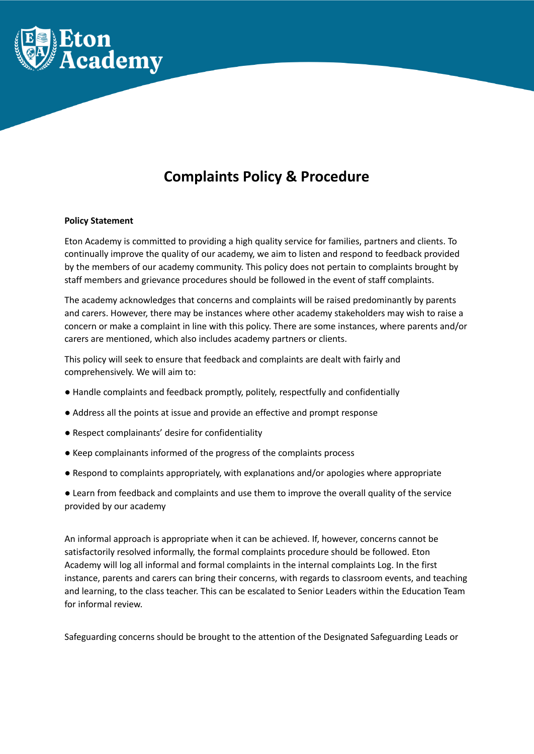

# **Complaints Policy & Procedure**

## **Policy Statement**

Eton Academy is committed to providing a high quality service for families, partners and clients. To continually improve the quality of our academy, we aim to listen and respond to feedback provided by the members of our academy community. This policy does not pertain to complaints brought by staff members and grievance procedures should be followed in the event of staff complaints.

The academy acknowledges that concerns and complaints will be raised predominantly by parents and carers. However, there may be instances where other academy stakeholders may wish to raise a concern or make a complaint in line with this policy. There are some instances, where parents and/or carers are mentioned, which also includes academy partners or clients.

This policy will seek to ensure that feedback and complaints are dealt with fairly and comprehensively. We will aim to:

- Handle complaints and feedback promptly, politely, respectfully and confidentially
- Address all the points at issue and provide an effective and prompt response
- Respect complainants' desire for confidentiality
- Keep complainants informed of the progress of the complaints process
- Respond to complaints appropriately, with explanations and/or apologies where appropriate

● Learn from feedback and complaints and use them to improve the overall quality of the service provided by our academy

An informal approach is appropriate when it can be achieved. If, however, concerns cannot be satisfactorily resolved informally, the formal complaints procedure should be followed. Eton Academy will log all informal and formal complaints in the internal complaints Log. In the first instance, parents and carers can bring their concerns, with regards to classroom events, and teaching and learning, to the class teacher. This can be escalated to Senior Leaders within the Education Team for informal review.

Safeguarding concerns should be brought to the attention of the Designated Safeguarding Leads or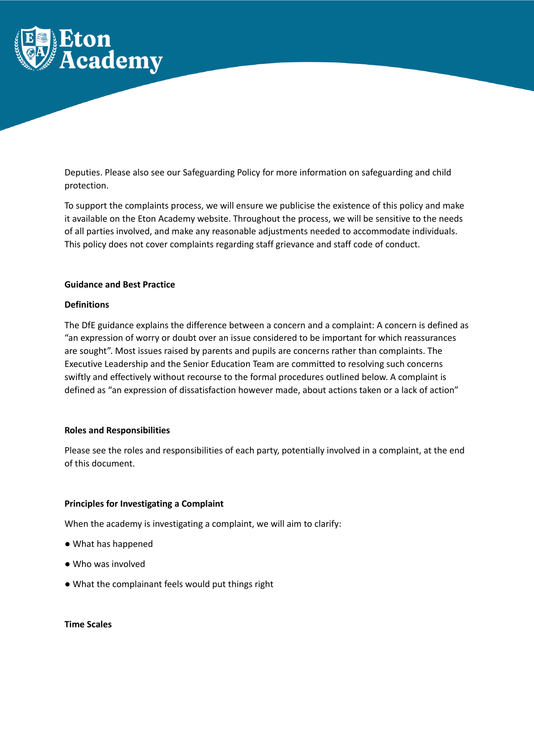

Deputies. Please also see our Safeguarding Policy for more information on safeguarding and child protection.

To support the complaints process, we will ensure we publicise the existence of this policy and make it available on the Eton Academy website. Throughout the process, we will be sensitive to the needs of all parties involved, and make any reasonable adjustments needed to accommodate individuals. This policy does not cover complaints regarding staff grievance and staff code of conduct.

## **Guidance and Best Practice**

## **Definitions**

The DfE guidance explains the difference between a concern and a complaint: A concern is defined as "an expression of worry or doubt over an issue considered to be important for which reassurances are sought". Most issues raised by parents and pupils are concerns rather than complaints. The Executive Leadership and the Senior Education Team are committed to resolving such concerns swiftly and effectively without recourse to the formal procedures outlined below. A complaint is defined as "an expression of dissatisfaction however made, about actions taken or a lack of action"

#### **Roles and Responsibilities**

Please see the roles and responsibilities of each party, potentially involved in a complaint, at the end of this document.

#### **Principles for Investigating a Complaint**

When the academy is investigating a complaint, we will aim to clarify:

- What has happened
- Who was involved
- What the complainant feels would put things right

# **Time Scales**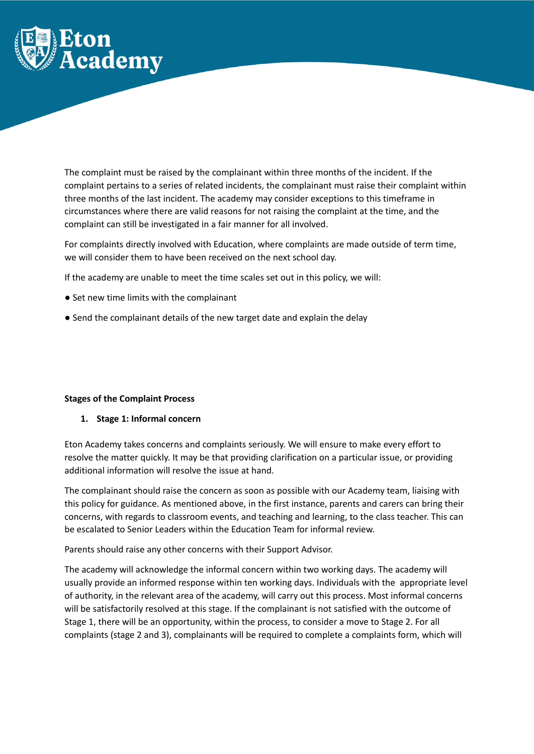

The complaint must be raised by the complainant within three months of the incident. If the complaint pertains to a series of related incidents, the complainant must raise their complaint within three months of the last incident. The academy may consider exceptions to this timeframe in circumstances where there are valid reasons for not raising the complaint at the time, and the complaint can still be investigated in a fair manner for all involved.

For complaints directly involved with Education, where complaints are made outside of term time, we will consider them to have been received on the next school day.

If the academy are unable to meet the time scales set out in this policy, we will:

- Set new time limits with the complainant
- Send the complainant details of the new target date and explain the delay

#### **Stages of the Complaint Process**

# **1. Stage 1: Informal concern**

Eton Academy takes concerns and complaints seriously. We will ensure to make every effort to resolve the matter quickly. It may be that providing clarification on a particular issue, or providing additional information will resolve the issue at hand.

The complainant should raise the concern as soon as possible with our Academy team, liaising with this policy for guidance. As mentioned above, in the first instance, parents and carers can bring their concerns, with regards to classroom events, and teaching and learning, to the class teacher. This can be escalated to Senior Leaders within the Education Team for informal review.

Parents should raise any other concerns with their Support Advisor.

The academy will acknowledge the informal concern within two working days. The academy will usually provide an informed response within ten working days. Individuals with the appropriate level of authority, in the relevant area of the academy, will carry out this process. Most informal concerns will be satisfactorily resolved at this stage. If the complainant is not satisfied with the outcome of Stage 1, there will be an opportunity, within the process, to consider a move to Stage 2. For all complaints (stage 2 and 3), complainants will be required to complete a complaints form, which will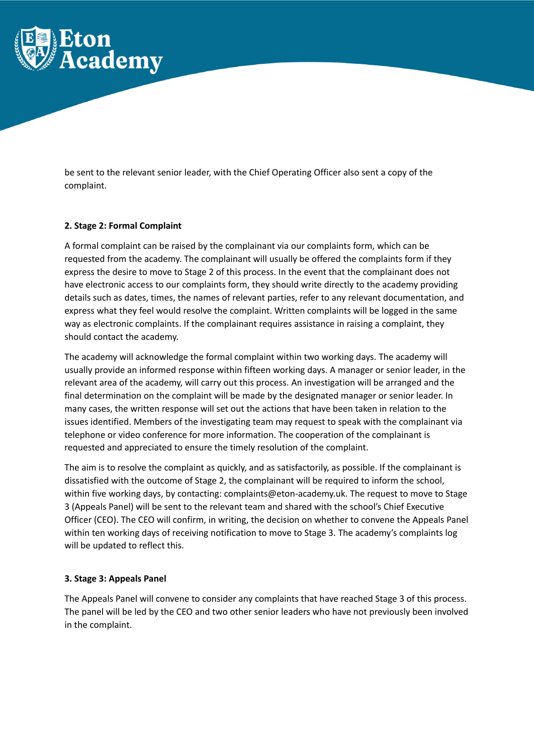

be sent to the relevant senior leader, with the Chief Operating Officer also sent a copy of the complaint.

# **2. Stage 2: Formal Complaint**

A formal complaint can be raised by the complainant via our complaints form, which can be requested from the academy. The complainant will usually be offered the complaints form if they express the desire to move to Stage 2 of this process. In the event that the complainant does not have electronic access to our complaints form, they should write directly to the academy providing details such as dates, times, the names of relevant parties, refer to any relevant documentation, and express what they feel would resolve the complaint. Written complaints will be logged in the same way as electronic complaints. If the complainant requires assistance in raising a complaint, they should contact the academy.

The academy will acknowledge the formal complaint within two working days. The academy will usually provide an informed response within fifteen working days. A manager or senior leader, in the relevant area of the academy, will carry out this process. An investigation will be arranged and the final determination on the complaint will be made by the designated manager or senior leader. In many cases, the written response will set out the actions that have been taken in relation to the issues identified. Members of the investigating team may request to speak with the complainant via telephone or video conference for more information. The cooperation of the complainant is requested and appreciated to ensure the timely resolution of the complaint.

The aim is to resolve the complaint as quickly, and as satisfactorily, as possible. If the complainant is dissatisfied with the outcome of Stage 2, the complainant will be required to inform the school, within five working days, by contacting: complaints@eton-academy.uk. The request to move to Stage 3 (Appeals Panel) will be sent to the relevant team and shared with the school's Chief Executive Officer (CEO). The CEO will confirm, in writing, the decision on whether to convene the Appeals Panel within ten working days of receiving notification to move to Stage 3. The academy's complaints log will be updated to reflect this.

# **3. Stage 3: Appeals Panel**

The Appeals Panel will convene to consider any complaints that have reached Stage 3 of this process. The panel will be led by the CEO and two other senior leaders who have not previously been involved in the complaint.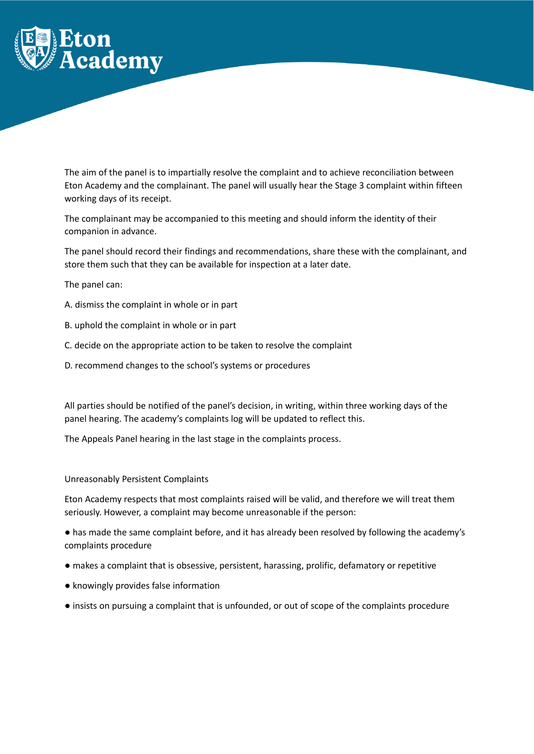

The aim of the panel is to impartially resolve the complaint and to achieve reconciliation between Eton Academy and the complainant. The panel will usually hear the Stage 3 complaint within fifteen working days of its receipt.

The complainant may be accompanied to this meeting and should inform the identity of their companion in advance.

The panel should record their findings and recommendations, share these with the complainant, and store them such that they can be available for inspection at a later date.

The panel can:

- A. dismiss the complaint in whole or in part
- B. uphold the complaint in whole or in part
- C. decide on the appropriate action to be taken to resolve the complaint
- D. recommend changes to the school's systems or procedures

All parties should be notified of the panel's decision, in writing, within three working days of the panel hearing. The academy's complaints log will be updated to reflect this.

The Appeals Panel hearing in the last stage in the complaints process.

#### Unreasonably Persistent Complaints

Eton Academy respects that most complaints raised will be valid, and therefore we will treat them seriously. However, a complaint may become unreasonable if the person:

● has made the same complaint before, and it has already been resolved by following the academy's complaints procedure

- makes a complaint that is obsessive, persistent, harassing, prolific, defamatory or repetitive
- knowingly provides false information
- insists on pursuing a complaint that is unfounded, or out of scope of the complaints procedure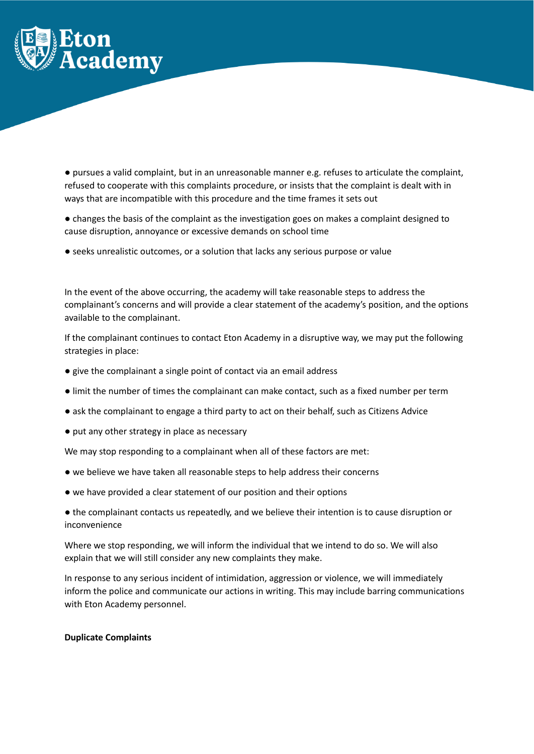

● pursues a valid complaint, but in an unreasonable manner e.g. refuses to articulate the complaint, refused to cooperate with this complaints procedure, or insists that the complaint is dealt with in ways that are incompatible with this procedure and the time frames it sets out

● changes the basis of the complaint as the investigation goes on makes a complaint designed to cause disruption, annoyance or excessive demands on school time

● seeks unrealistic outcomes, or a solution that lacks any serious purpose or value

In the event of the above occurring, the academy will take reasonable steps to address the complainant's concerns and will provide a clear statement of the academy's position, and the options available to the complainant.

If the complainant continues to contact Eton Academy in a disruptive way, we may put the following strategies in place:

- give the complainant a single point of contact via an email address
- limit the number of times the complainant can make contact, such as a fixed number per term
- ask the complainant to engage a third party to act on their behalf, such as Citizens Advice
- put any other strategy in place as necessary

We may stop responding to a complainant when all of these factors are met:

- we believe we have taken all reasonable steps to help address their concerns
- we have provided a clear statement of our position and their options

● the complainant contacts us repeatedly, and we believe their intention is to cause disruption or inconvenience

Where we stop responding, we will inform the individual that we intend to do so. We will also explain that we will still consider any new complaints they make.

In response to any serious incident of intimidation, aggression or violence, we will immediately inform the police and communicate our actions in writing. This may include barring communications with Eton Academy personnel.

#### **Duplicate Complaints**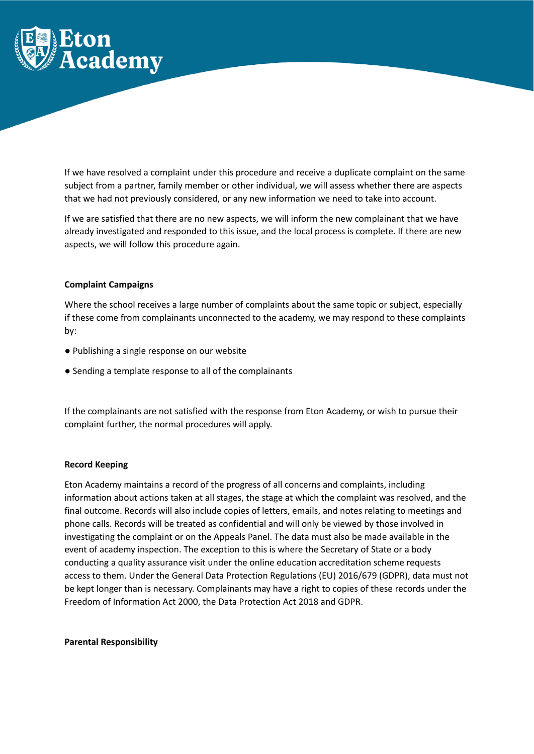

If we have resolved a complaint under this procedure and receive a duplicate complaint on the same subject from a partner, family member or other individual, we will assess whether there are aspects that we had not previously considered, or any new information we need to take into account.

If we are satisfied that there are no new aspects, we will inform the new complainant that we have already investigated and responded to this issue, and the local process is complete. If there are new aspects, we will follow this procedure again.

## **Complaint Campaigns**

Where the school receives a large number of complaints about the same topic or subject, especially if these come from complainants unconnected to the academy, we may respond to these complaints by:

- Publishing a single response on our website
- Sending a template response to all of the complainants

If the complainants are not satisfied with the response from Eton Academy, or wish to pursue their complaint further, the normal procedures will apply.

## **Record Keeping**

Eton Academy maintains a record of the progress of all concerns and complaints, including information about actions taken at all stages, the stage at which the complaint was resolved, and the final outcome. Records will also include copies of letters, emails, and notes relating to meetings and phone calls. Records will be treated as confidential and will only be viewed by those involved in investigating the complaint or on the Appeals Panel. The data must also be made available in the event of academy inspection. The exception to this is where the Secretary of State or a body conducting a quality assurance visit under the online education accreditation scheme requests access to them. Under the General Data Protection Regulations (EU) 2016/679 (GDPR), data must not be kept longer than is necessary. Complainants may have a right to copies of these records under the Freedom of Information Act 2000, the Data Protection Act 2018 and GDPR.

#### **Parental Responsibility**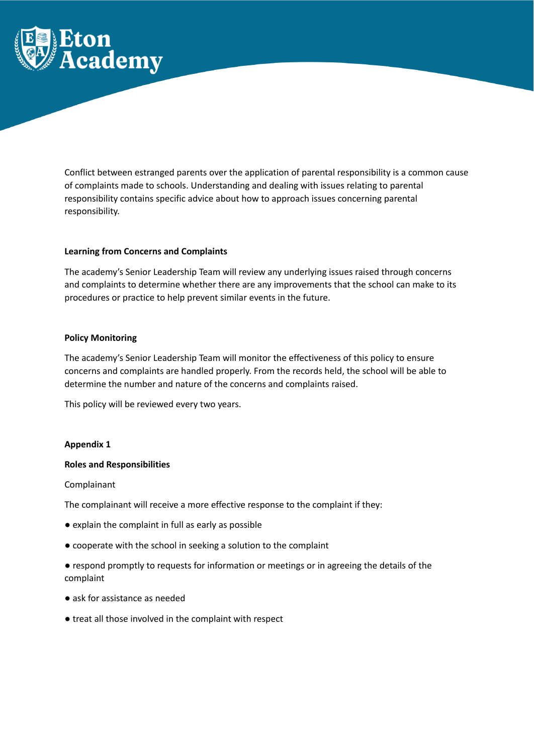

Conflict between estranged parents over the application of parental responsibility is a common cause of complaints made to schools. Understanding and dealing with issues relating to parental responsibility contains specific advice about how to approach issues concerning parental responsibility.

## **Learning from Concerns and Complaints**

The academy's Senior Leadership Team will review any underlying issues raised through concerns and complaints to determine whether there are any improvements that the school can make to its procedures or practice to help prevent similar events in the future.

## **Policy Monitoring**

The academy's Senior Leadership Team will monitor the effectiveness of this policy to ensure concerns and complaints are handled properly. From the records held, the school will be able to determine the number and nature of the concerns and complaints raised.

This policy will be reviewed every two years.

#### **Appendix 1**

#### **Roles and Responsibilities**

Complainant

The complainant will receive a more effective response to the complaint if they:

- explain the complaint in full as early as possible
- cooperate with the school in seeking a solution to the complaint
- respond promptly to requests for information or meetings or in agreeing the details of the complaint
- ask for assistance as needed
- treat all those involved in the complaint with respect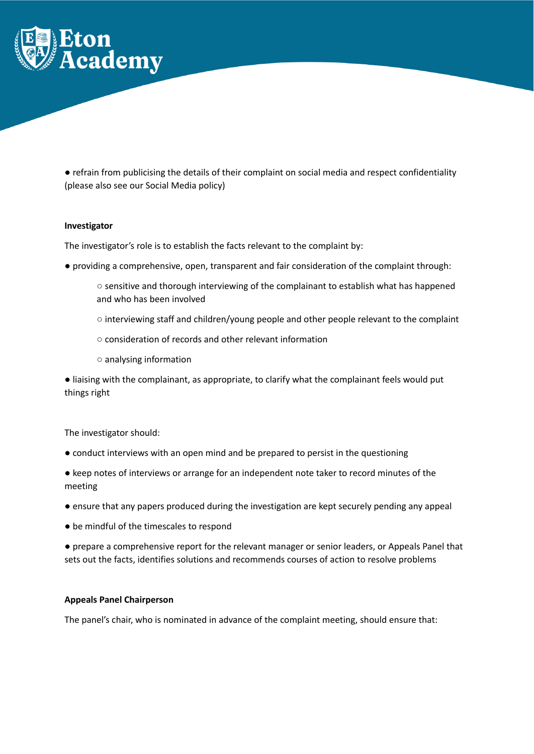

● refrain from publicising the details of their complaint on social media and respect confidentiality (please also see our Social Media policy)

#### **Investigator**

The investigator's role is to establish the facts relevant to the complaint by:

- providing a comprehensive, open, transparent and fair consideration of the complaint through:
	- sensitive and thorough interviewing of the complainant to establish what has happened and who has been involved
	- interviewing staff and children/young people and other people relevant to the complaint
	- consideration of records and other relevant information
	- analysing information

● liaising with the complainant, as appropriate, to clarify what the complainant feels would put things right

The investigator should:

- conduct interviews with an open mind and be prepared to persist in the questioning
- keep notes of interviews or arrange for an independent note taker to record minutes of the meeting
- ensure that any papers produced during the investigation are kept securely pending any appeal
- be mindful of the timescales to respond
- prepare a comprehensive report for the relevant manager or senior leaders, or Appeals Panel that sets out the facts, identifies solutions and recommends courses of action to resolve problems

# **Appeals Panel Chairperson**

The panel's chair, who is nominated in advance of the complaint meeting, should ensure that: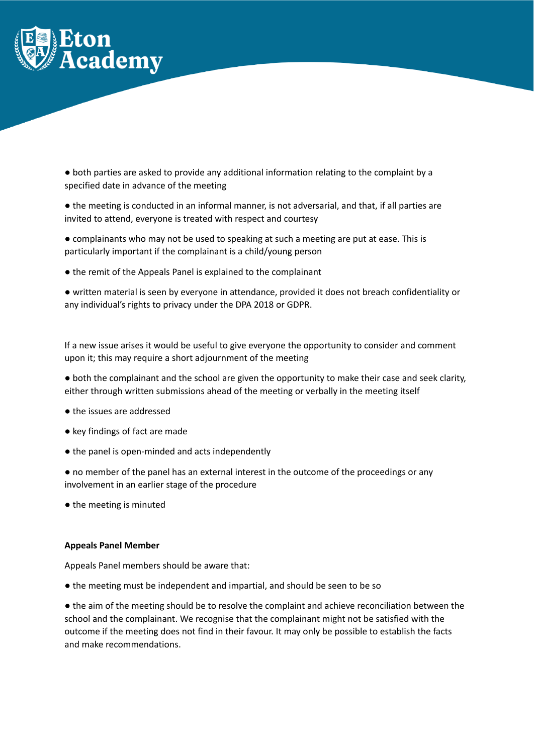

● both parties are asked to provide any additional information relating to the complaint by a specified date in advance of the meeting

● the meeting is conducted in an informal manner, is not adversarial, and that, if all parties are invited to attend, everyone is treated with respect and courtesy

● complainants who may not be used to speaking at such a meeting are put at ease. This is particularly important if the complainant is a child/young person

● the remit of the Appeals Panel is explained to the complainant

● written material is seen by everyone in attendance, provided it does not breach confidentiality or any individual's rights to privacy under the DPA 2018 or GDPR.

If a new issue arises it would be useful to give everyone the opportunity to consider and comment upon it; this may require a short adjournment of the meeting

● both the complainant and the school are given the opportunity to make their case and seek clarity, either through written submissions ahead of the meeting or verbally in the meeting itself

- the issues are addressed
- key findings of fact are made
- the panel is open-minded and acts independently

● no member of the panel has an external interest in the outcome of the proceedings or any involvement in an earlier stage of the procedure

● the meeting is minuted

# **Appeals Panel Member**

Appeals Panel members should be aware that:

● the meeting must be independent and impartial, and should be seen to be so

● the aim of the meeting should be to resolve the complaint and achieve reconciliation between the school and the complainant. We recognise that the complainant might not be satisfied with the outcome if the meeting does not find in their favour. It may only be possible to establish the facts and make recommendations.